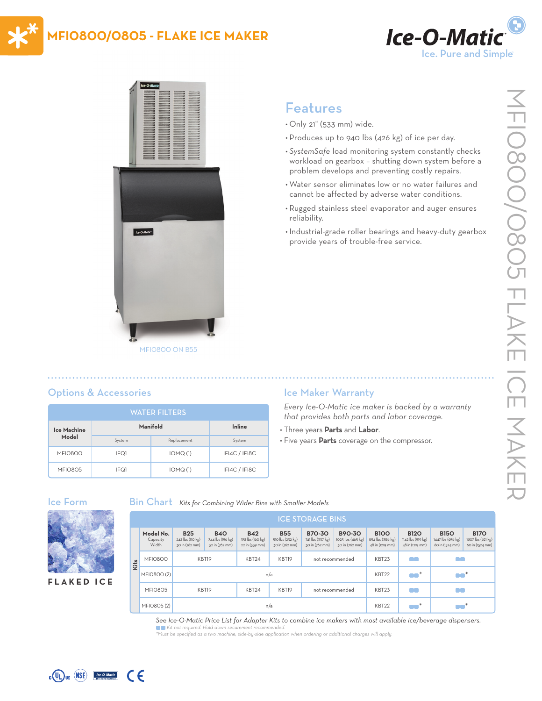# **MFI0800/0805 - FLAKE ICE MAKER**





# Features

- Only 21" (533 mm) wide.
- Produces up to 940 lbs (426 kg) of ice per day.
- *• SystemSafe* load monitoring system constantly checks workload on gearbox – shutting down system before a problem develops and preventing costly repairs.
- Water sensor eliminates low or no water failures and cannot be affected by adverse water conditions.
- Rugged stainless steel evaporator and auger ensures reliability.
- Industrial-grade roller bearings and heavy-duty gearbox provide years of trouble-free service.

|  |  | <b>Options &amp; Accessories</b> |
|--|--|----------------------------------|

| <b>WATER FILTERS</b> |          |             |               |  |  |  |  |  |
|----------------------|----------|-------------|---------------|--|--|--|--|--|
| Ice Machine          | Manifold | Inline      |               |  |  |  |  |  |
| Model                | System   | Replacement | System        |  |  |  |  |  |
| <b>MFI0800</b>       | IFQ1     | IOMQ(1)     | IFI4C / IFI8C |  |  |  |  |  |
| MFIO8O5              | IFQ1     | IOMQ(1)     | IFI4C / IFI8C |  |  |  |  |  |

## Ice Maker Warranty

*Every Ice-O-Matic ice maker is backed by a warranty that provides both parts and labor coverage.*

- Three years **Parts** and **Labor**.
- Five years **Parts** coverage on the compressor.

#### Ice Form



**FLAKED ICE**

Bin Chart *Kits for Combining Wider Bins with Smaller Models*

|  | <b>ICE STORAGE BINS</b>        |                                                  |                                                  |                                                  |                                                  |                                                     |                                               |                                                    |                                                     |                                                     |                                                     |
|--|--------------------------------|--------------------------------------------------|--------------------------------------------------|--------------------------------------------------|--------------------------------------------------|-----------------------------------------------------|-----------------------------------------------|----------------------------------------------------|-----------------------------------------------------|-----------------------------------------------------|-----------------------------------------------------|
|  | Model No.<br>Capacity<br>Width | <b>B25</b><br>242 lbs (110 kg)<br>30 in (762 mm) | <b>B40</b><br>344 lbs (156 kg)<br>30 in (762 mm) | <b>B42</b><br>351 lbs (160 kg)<br>22 in (559 mm) | <b>B55</b><br>510 lbs (232 kg)<br>30 in (762 mm) | <b>B70-30</b><br>741 lbs (337 kg)<br>30 in (762 mm) | B90-30<br>1023 lbs (465 kg)<br>30 in (762 mm) | <b>B100</b><br>854 lbs (388 kg)<br>48 in (1219 mm) | <b>B120</b><br>1142 lbs (519 kg)<br>48 in (1219 mm) | <b>B150</b><br>1447 lbs (658 kg)<br>60 in (1524 mm) | <b>B170</b><br>1807 lbs (821 kg)<br>60 in (1524 mm) |
|  | <b>MFI0800</b>                 |                                                  | KBT19<br>KBT24<br>KBT19<br>not recommended       |                                                  |                                                  | KBT <sub>23</sub>                                   | n o                                           | 80                                                 |                                                     |                                                     |                                                     |
|  | MFIO800 (2)                    | n/a                                              |                                                  |                                                  |                                                  |                                                     |                                               | KBT22                                              | $\bullet$ *                                         | $\bullet$ $\bullet$ $^*$                            |                                                     |
|  | MFIO8O5                        | KBT19                                            |                                                  | KBT24                                            | KBT19                                            | not recommended                                     |                                               | KBT <sub>23</sub>                                  | n a                                                 | 80                                                  |                                                     |
|  | MFIO805 (2)                    | n/a                                              |                                                  |                                                  |                                                  |                                                     |                                               | KBT22                                              | $\bullet\bullet^*$                                  | $\blacksquare$                                      |                                                     |

#### *See Ice-O-Matic Price List for Adapter Kits to combine ice makers with most available ice/beverage dispensers.*

 $\bullet$  Kit not required. Hold down securement recommended. *\*Must be specified as a two machine, side-by-side application when ordering or additional charges will apply.*



 $_{c}$  (U<sub>L</sub>)<sub>us</sub> (NSF)  $\frac{1}{c^{c}$   $\cdot$  0 M CE